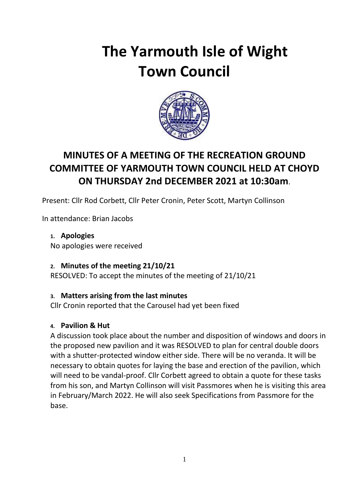# **The Yarmouth Isle of Wight Town Council**



# **MINUTES OF A MEETING OF THE RECREATION GROUND COMMITTEE OF YARMOUTH TOWN COUNCIL HELD AT CHOYD ON THURSDAY 2nd DECEMBER 2021 at 10:30am**.

Present: Cllr Rod Corbett, Cllr Peter Cronin, Peter Scott, Martyn Collinson

In attendance: Brian Jacobs

**1. Apologies** No apologies were received

## **2. Minutes of the meeting 21/10/21**

RESOLVED: To accept the minutes of the meeting of 21/10/21

## **3. Matters arising from the last minutes**

Cllr Cronin reported that the Carousel had yet been fixed

## **4. Pavilion & Hut**

A discussion took place about the number and disposition of windows and doors in the proposed new pavilion and it was RESOLVED to plan for central double doors with a shutter-protected window either side. There will be no veranda. It will be necessary to obtain quotes for laying the base and erection of the pavilion, which will need to be vandal-proof. Cllr Corbett agreed to obtain a quote for these tasks from his son, and Martyn Collinson will visit Passmores when he is visiting this area in February/March 2022. He will also seek Specifications from Passmore for the base.